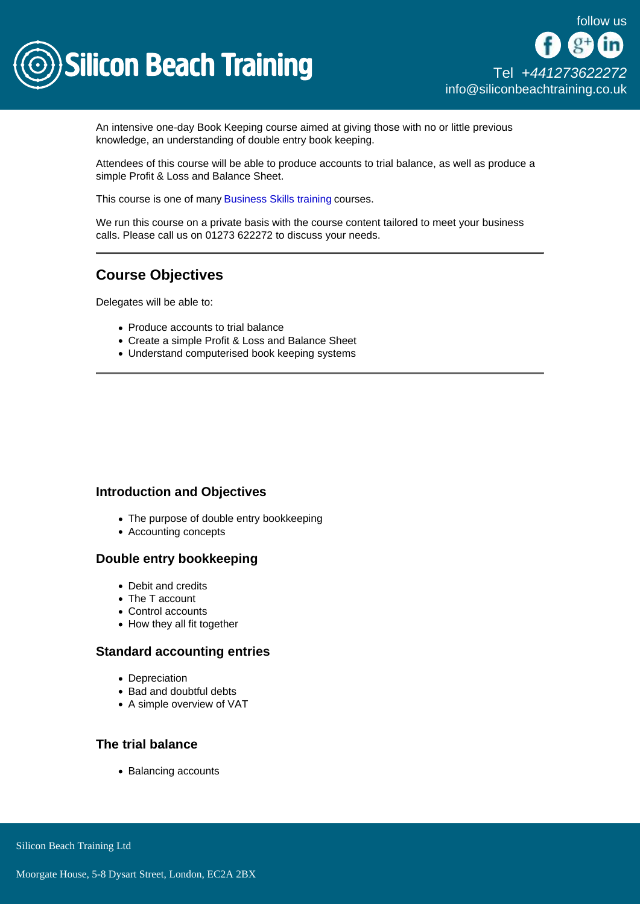

An intensive one-day Book Keeping course aimed at giving those with no or little previous knowledge, an understanding of double entry book keeping.

Attendees of this course will be able to produce accounts to trial balance, as well as produce a simple Profit & Loss and Balance Sheet.

This course is one of many [Business Skills training](/business-skills-training) courses.

We run this course on a private basis with the course content tailored to meet your business calls. Please call us on 01273 622272 to discuss your needs.

# Course Objectives

Delegates will be able to:

- Produce accounts to trial balance
- Create a simple Profit & Loss and Balance Sheet
- Understand computerised book keeping systems

#### Introduction and Objectives

- The purpose of double entry bookkeeping
- Accounting concepts

# Double entry bookkeeping

- Debit and credits
- The T account
- Control accounts
- How they all fit together

#### Standard accounting entries

- Depreciation
- Bad and doubtful debts
- A simple overview of VAT

#### The trial balance

• Balancing accounts

Silicon Beach Training Ltd